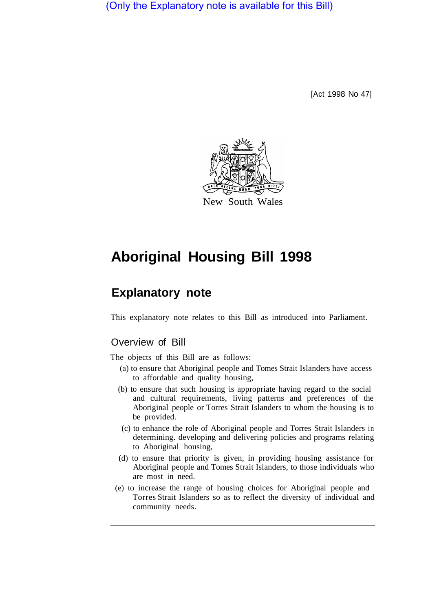(Only the Explanatory note is available for this Bill)

[Act 1998 No 47]



New South Wales

# **Aboriginal Housing Bill 1998**

# **Explanatory note**

This explanatory note relates to this Bill as introduced into Parliament.

# Overview of Bill

The objects of this Bill are as follows:

- (a) to ensure that Aboriginal people and Tomes Strait Islanders have access to affordable and quality housing,
- (b) to ensure that such housing is appropriate having regard to the social and cultural requirements, living patterns and preferences of the Aboriginal people or Torres Strait Islanders to whom the housing is to be provided.
- (c) to enhance the role of Aboriginal people and Torres Strait Islanders in determining. developing and delivering policies and programs relating to Aboriginal housing,
- (d) to ensure that priority is given, in providing housing assistance for Aboriginal people and Tomes Strait Islanders, to those individuals who are most in need.
- (e) to increase the range of housing choices for Aboriginal people and Torres Strait Islanders so as to reflect the diversity of individual and community needs.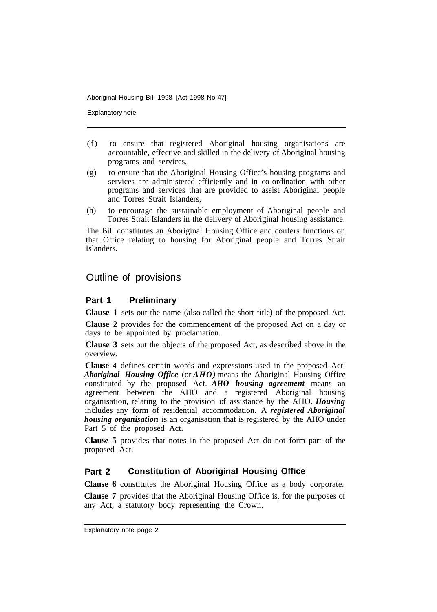Explanatory note

- (f) to ensure that registered Aboriginal housing organisations are accountable, effective and skilled in the delivery of Aboriginal housing programs and services,
- (g) to ensure that the Aboriginal Housing Office's housing programs and services are administered efficiently and in co-ordination with other programs and services that are provided to assist Aboriginal people and Torres Strait Islanders,
- (h) to encourage the sustainable employment of Aboriginal people and Torres Strait Islanders in the delivery of Aboriginal housing assistance.

The Bill constitutes an Aboriginal Housing Office and confers functions on that Office relating to housing for Aboriginal people and Torres Strait Islanders.

## Outline of provisions

#### **Part 1 Preliminary**

**Clause 1** sets out the name (also called the short title) of the proposed Act.

**Clause 2** provides for the commencement of the proposed Act on a day or days to be appointed by proclamation.

**Clause 3** sets out the objects of the proposed Act, as described above in the overview.

**Clause 4** defines certain words and expressions used in the proposed Act. *Aboriginal Housing Office* (or *AHO)* means the Aboriginal Housing Office constituted by the proposed Act. *AHO housing agreement* means an agreement between the AHO and a registered Aboriginal housing organisation, relating to the provision of assistance by the AHO. *Housing*  includes any form of residential accommodation. A *registered Aboriginal housing organisation* is an organisation that is registered by the AHO under Part 5 of the proposed Act.

**Clause 5** provides that notes in the proposed Act do not form part of the proposed Act.

#### **Part 2 Constitution of Aboriginal Housing Office**

**Clause 6** constitutes the Aboriginal Housing Office as a body corporate.

**Clause 7** provides that the Aboriginal Housing Office is, for the purposes of any Act, a statutory body representing the Crown.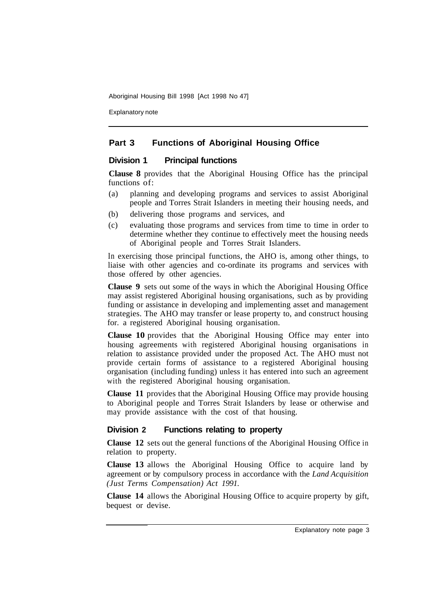Explanatory note

#### **Part 3 Functions of Aboriginal Housing Office**

#### **Division 1 Principal functions**

**Clause 8** provides that the Aboriginal Housing Office has the principal functions of:

- (a) planning and developing programs and services to assist Aboriginal people and Torres Strait Islanders in meeting their housing needs, and
- (b) delivering those programs and services, and
- (c) evaluating those programs and services from time to time in order to determine whether they continue to effectively meet the housing needs of Aboriginal people and Torres Strait Islanders.

In exercising those principal functions, the AHO is, among other things, to liaise with other agencies and co-ordinate its programs and services with those offered by other agencies.

**Clause 9** sets out some of the ways in which the Aboriginal Housing Office may assist registered Aboriginal housing organisations, such as by providing funding or assistance in developing and implementing asset and management strategies. The AHO may transfer or lease property to, and construct housing for. a registered Aboriginal housing organisation.

**Clause 10** provides that the Aboriginal Housing Office may enter into housing agreements with registered Aboriginal housing organisations in relation to assistance provided under the proposed Act. The AHO must not provide certain forms of assistance to a registered Aboriginal housing organisation (including funding) unless it has entered into such an agreement with the registered Aboriginal housing organisation.

**Clause 11** provides that the Aboriginal Housing Office may provide housing to Aboriginal people and Torres Strait Islanders by lease or otherwise and may provide assistance with the cost of that housing.

#### **Division 2 Functions relating to property**

**Clause 12** sets out the general functions of the Aboriginal Housing Office in relation to property.

**Clause 13** allows the Aboriginal Housing Office to acquire land by agreement or by compulsory process in accordance with the *Land Acquisition (Just Terms Compensation) Act 1991.* 

**Clause 14** allows the Aboriginal Housing Office to acquire property by gift, bequest or devise.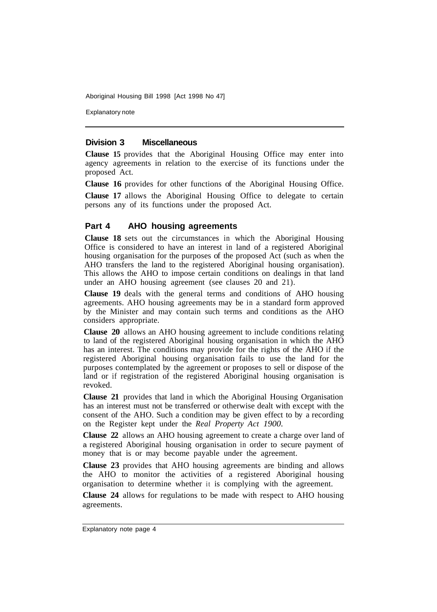Explanatory note

#### **Division 3 Miscellaneous**

**Clause 15** provides that the Aboriginal Housing Office may enter into agency agreements in relation to the exercise of its functions under the proposed Act.

**Clause 16** provides for other functions of the Aboriginal Housing Office.

**Clause 17** allows the Aboriginal Housing Office to delegate to certain persons any of its functions under the proposed Act.

#### **Part 4 AHO housing agreements**

**Clause 18** sets out the circumstances in which the Aboriginal Housing Office is considered to have an interest in land of a registered Aboriginal housing organisation for the purposes of the proposed Act (such as when the AHO transfers the land to the registered Aboriginal housing organisation). This allows the AHO to impose certain conditions on dealings in that land under an AHO housing agreement (see clauses 20 and 21).

**Clause 19** deals with the general terms and conditions of AHO housing agreements. AHO housing agreements may be in a standard form approved by the Minister and may contain such terms and conditions as the AHO considers appropriate.

**Clause 20** allows an AHO housing agreement to include conditions relating to land of the registered Aboriginal housing organisation in which the AHO has an interest. The conditions may provide for the rights of the AHO if the registered Aboriginal housing organisation fails to use the land for the purposes contemplated by the agreement or proposes to sell or dispose of the land or if registration of the registered Aboriginal housing organisation is revoked.

**Clause 21** provides that land in which the Aboriginal Housing Organisation has an interest must not be transferred or otherwise dealt with except with the consent of the AHO. Such a condition may be given effect to by a recording on the Register kept under the *Real Property Act 1900.* 

**Clause 22** allows an AHO housing agreement to create a charge over land of a registered Aboriginal housing organisation in order to secure payment of money that is or may become payable under the agreement.

**Clause 23** provides that AHO housing agreements are binding and allows the AHO to monitor the activities of a registered Aboriginal housing organisation to determine whether it is complying with the agreement.

**Clause 24** allows for regulations to be made with respect to AHO housing agreements.

Explanatory note page 4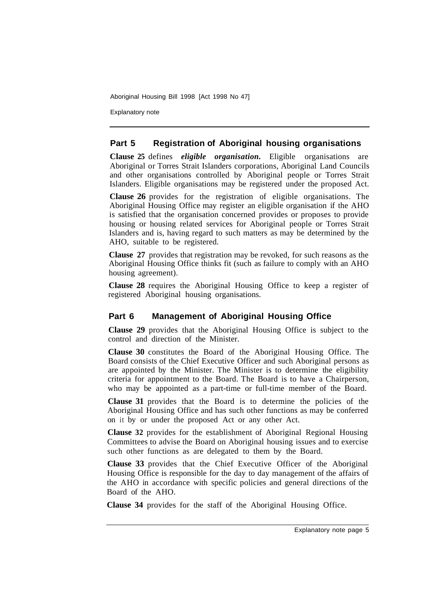Explanatory note

#### **Part 5 Registration of Aboriginal housing organisations**

**Clause 25** defines *eligible organisation.* Eligible organisations are Aboriginal or Torres Strait Islanders corporations, Aboriginal Land Councils and other organisations controlled by Aboriginal people or Torres Strait Islanders. Eligible organisations may be registered under the proposed Act.

**Clause 26** provides for the registration of eligible organisations. The Aboriginal Housing Office may register an eligible organisation if the AHO is satisfied that the organisation concerned provides or proposes to provide housing or housing related services for Aboriginal people or Torres Strait Islanders and is, having regard to such matters as may be determined by the AHO, suitable to be registered.

**Clause 27** provides that registration may be revoked, for such reasons as the Aboriginal Housing Office thinks fit (such as failure to comply with an AHO housing agreement).

**Clause 28** requires the Aboriginal Housing Office to keep a register of registered Aboriginal housing organisations.

### **Part 6 Management of Aboriginal Housing Office**

**Clause 29** provides that the Aboriginal Housing Office is subject to the control and direction of the Minister.

**Clause 30** constitutes the Board of the Aboriginal Housing Office. The Board consists of the Chief Executive Officer and such Aboriginal persons as are appointed by the Minister. The Minister is to determine the eligibility criteria for appointment to the Board. The Board is to have a Chairperson, who may be appointed as a part-time or full-time member of the Board.

**Clause 31** provides that the Board is to determine the policies of the Aboriginal Housing Office and has such other functions as may be conferred on it by or under the proposed Act or any other Act.

**Clause 32** provides for the establishment of Aboriginal Regional Housing Committees to advise the Board on Aboriginal housing issues and to exercise such other functions as are delegated to them by the Board.

**Clause 33** provides that the Chief Executive Officer of the Aboriginal Housing Office is responsible for the day to day management of the affairs of the AHO in accordance with specific policies and general directions of the Board of the AHO.

**Clause 34** provides for the staff of the Aboriginal Housing Office.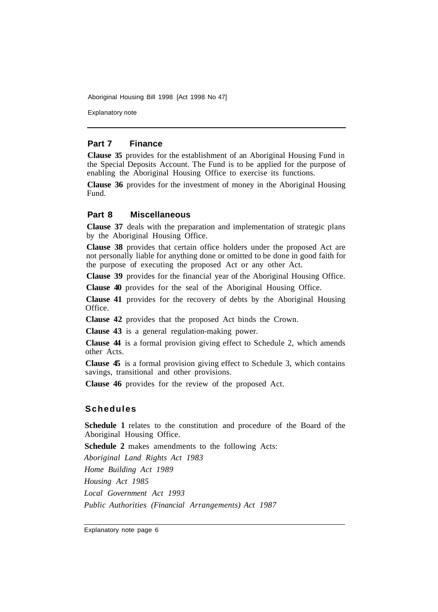Explanatory note

#### **Part 7 Finance**

**Clause 35** provides for the establishment of an Aboriginal Housing Fund in the Special Deposits Account. The Fund is to be applied for the purpose of enabling the Aboriginal Housing Office to exercise its functions.

**Clause 36** provides for the investment of money in the Aboriginal Housing Fund.

#### **Part 8 Miscellaneous**

**Clause 37** deals with the preparation and implementation of strategic plans by the Aboriginal Housing Office.

**Clause 38** provides that certain office holders under the proposed Act are not personally liable for anything done or omitted to be done in good faith for the purpose of executing the proposed Act or any other Act.

**Clause 39** provides for the financial year of the Aboriginal Housing Office.

**Clause 40** provides for the seal of the Aboriginal Housing Office.

**Clause 41** provides for the recovery of debts by the Aboriginal Housing Office.

**Clause 42** provides that the proposed Act binds the Crown.

**Clause 43** is a general regulation-making power.

**Clause 44** is a formal provision giving effect to Schedule 2, which amends other Acts.

**Clause 45** is a formal provision giving effect to Schedule 3, which contains savings, transitional and other provisions.

**Clause 46** provides for the review of the proposed Act.

#### **Schedules**

**Schedule 1** relates to the constitution and procedure of the Board of the Aboriginal Housing Office.

**Schedule 2** makes amendments to the following Acts:

*Aboriginal Land Rights Act 1983 Home Building Act 1989 Housing Act 1985 Local Government Act 1993 Public Authorities (Financial Arrangements) Act 1987* 

Explanatory note page 6